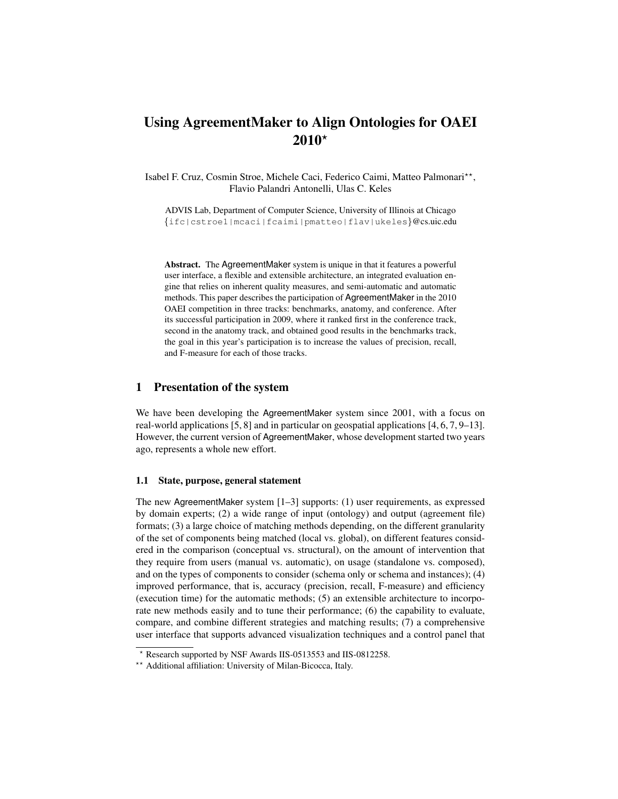# Using AgreementMaker to Align Ontologies for OAEI  $2010*$

Isabel F. Cruz, Cosmin Stroe, Michele Caci, Federico Caimi, Matteo Palmonari\*\*, Flavio Palandri Antonelli, Ulas C. Keles

ADVIS Lab, Department of Computer Science, University of Illinois at Chicago {ifc|cstroe1|mcaci|fcaimi|pmatteo|flav|ukeles}@cs.uic.edu

Abstract. The AgreementMaker system is unique in that it features a powerful user interface, a flexible and extensible architecture, an integrated evaluation engine that relies on inherent quality measures, and semi-automatic and automatic methods. This paper describes the participation of AgreementMaker in the 2010 OAEI competition in three tracks: benchmarks, anatomy, and conference. After its successful participation in 2009, where it ranked first in the conference track, second in the anatomy track, and obtained good results in the benchmarks track, the goal in this year's participation is to increase the values of precision, recall, and F-measure for each of those tracks.

# 1 Presentation of the system

We have been developing the AgreementMaker system since 2001, with a focus on real-world applications [5, 8] and in particular on geospatial applications [4, 6, 7, 9–13]. However, the current version of AgreementMaker, whose development started two years ago, represents a whole new effort.

#### 1.1 State, purpose, general statement

The new AgreementMaker system [1–3] supports: (1) user requirements, as expressed by domain experts; (2) a wide range of input (ontology) and output (agreement file) formats; (3) a large choice of matching methods depending, on the different granularity of the set of components being matched (local vs. global), on different features considered in the comparison (conceptual vs. structural), on the amount of intervention that they require from users (manual vs. automatic), on usage (standalone vs. composed), and on the types of components to consider (schema only or schema and instances); (4) improved performance, that is, accuracy (precision, recall, F-measure) and efficiency (execution time) for the automatic methods; (5) an extensible architecture to incorporate new methods easily and to tune their performance; (6) the capability to evaluate, compare, and combine different strategies and matching results; (7) a comprehensive user interface that supports advanced visualization techniques and a control panel that

<sup>?</sup> Research supported by NSF Awards IIS-0513553 and IIS-0812258.

<sup>\*\*</sup> Additional affiliation: University of Milan-Bicocca, Italy.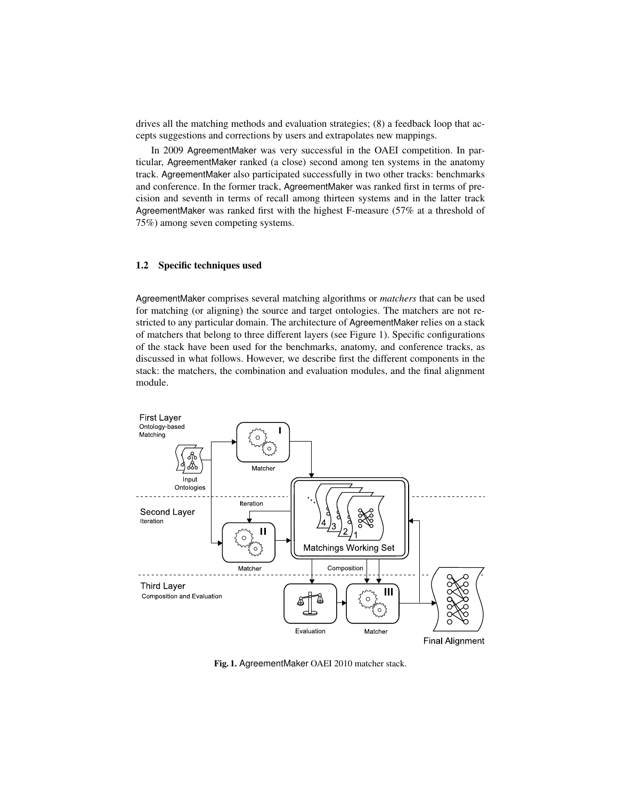drives all the matching methods and evaluation strategies; (8) a feedback loop that accepts suggestions and corrections by users and extrapolates new mappings.

In 2009 AgreementMaker was very successful in the OAEI competition. In particular, AgreementMaker ranked (a close) second among ten systems in the anatomy track. AgreementMaker also participated successfully in two other tracks: benchmarks and conference. In the former track, AgreementMaker was ranked first in terms of precision and seventh in terms of recall among thirteen systems and in the latter track AgreementMaker was ranked first with the highest F-measure (57% at a threshold of 75%) among seven competing systems.

## 1.2 Specific techniques used

AgreementMaker comprises several matching algorithms or *matchers* that can be used for matching (or aligning) the source and target ontologies. The matchers are not restricted to any particular domain. The architecture of AgreementMaker relies on a stack of matchers that belong to three different layers (see Figure 1). Specific configurations of the stack have been used for the benchmarks, anatomy, and conference tracks, as discussed in what follows. However, we describe first the different components in the stack: the matchers, the combination and evaluation modules, and the final alignment module.



Fig. 1. AgreementMaker OAEI 2010 matcher stack.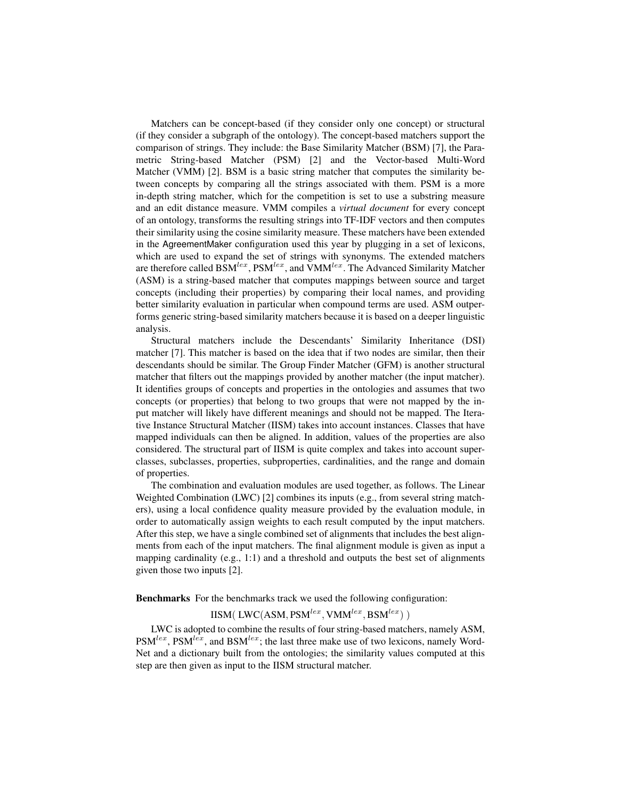Matchers can be concept-based (if they consider only one concept) or structural (if they consider a subgraph of the ontology). The concept-based matchers support the comparison of strings. They include: the Base Similarity Matcher (BSM) [7], the Parametric String-based Matcher (PSM) [2] and the Vector-based Multi-Word Matcher (VMM) [2]. BSM is a basic string matcher that computes the similarity between concepts by comparing all the strings associated with them. PSM is a more in-depth string matcher, which for the competition is set to use a substring measure and an edit distance measure. VMM compiles a *virtual document* for every concept of an ontology, transforms the resulting strings into TF-IDF vectors and then computes their similarity using the cosine similarity measure. These matchers have been extended in the AgreementMaker configuration used this year by plugging in a set of lexicons, which are used to expand the set of strings with synonyms. The extended matchers are therefore called  $BSM^{lex}$ ,  $PSM^{lex}$ , and  $VMM^{lex}$ . The Advanced Similarity Matcher (ASM) is a string-based matcher that computes mappings between source and target concepts (including their properties) by comparing their local names, and providing better similarity evaluation in particular when compound terms are used. ASM outperforms generic string-based similarity matchers because it is based on a deeper linguistic analysis.

Structural matchers include the Descendants' Similarity Inheritance (DSI) matcher [7]. This matcher is based on the idea that if two nodes are similar, then their descendants should be similar. The Group Finder Matcher (GFM) is another structural matcher that filters out the mappings provided by another matcher (the input matcher). It identifies groups of concepts and properties in the ontologies and assumes that two concepts (or properties) that belong to two groups that were not mapped by the input matcher will likely have different meanings and should not be mapped. The Iterative Instance Structural Matcher (IISM) takes into account instances. Classes that have mapped individuals can then be aligned. In addition, values of the properties are also considered. The structural part of IISM is quite complex and takes into account superclasses, subclasses, properties, subproperties, cardinalities, and the range and domain of properties.

The combination and evaluation modules are used together, as follows. The Linear Weighted Combination (LWC) [2] combines its inputs (e.g., from several string matchers), using a local confidence quality measure provided by the evaluation module, in order to automatically assign weights to each result computed by the input matchers. After this step, we have a single combined set of alignments that includes the best alignments from each of the input matchers. The final alignment module is given as input a mapping cardinality (e.g., 1:1) and a threshold and outputs the best set of alignments given those two inputs [2].

Benchmarks For the benchmarks track we used the following configuration:

 $\text{IISM}(\text{ LWC}(\text{ASM}, \text{PSM}^{lex}, \text{VMM}^{lex}, \text{BSM}^{lex})$  )

LWC is adopted to combine the results of four string-based matchers, namely ASM,  $PSM^{lex}$ ,  $PSM^{lex}$ , and  $BSM^{lex}$ ; the last three make use of two lexicons, namely Word-Net and a dictionary built from the ontologies; the similarity values computed at this step are then given as input to the IISM structural matcher.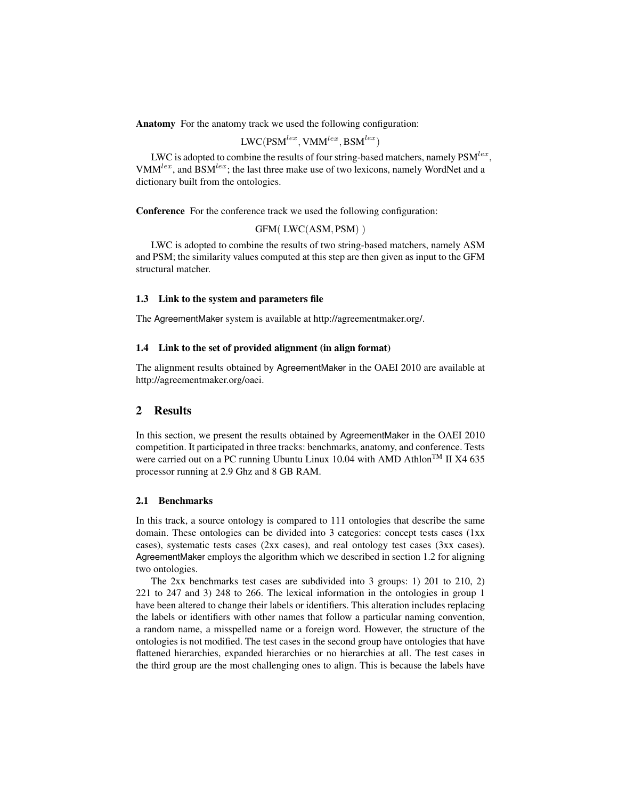Anatomy For the anatomy track we used the following configuration:

$$
\text{LWC}(\text{PSM}^{lex}, \text{VMM}^{lex}, \text{BSM}^{lex})
$$

LWC is adopted to combine the results of four string-based matchers, namely  $\mathrm{PSM}^{lex},$ VMM<sup>lex</sup>, and BSM<sup>lex</sup>; the last three make use of two lexicons, namely WordNet and a dictionary built from the ontologies.

Conference For the conference track we used the following configuration:

GFM( LWC(ASM, PSM) )

LWC is adopted to combine the results of two string-based matchers, namely ASM and PSM; the similarity values computed at this step are then given as input to the GFM structural matcher.

## 1.3 Link to the system and parameters file

The AgreementMaker system is available at http://agreementmaker.org/.

### 1.4 Link to the set of provided alignment (in align format)

The alignment results obtained by AgreementMaker in the OAEI 2010 are available at http://agreementmaker.org/oaei.

# 2 Results

In this section, we present the results obtained by AgreementMaker in the OAEI 2010 competition. It participated in three tracks: benchmarks, anatomy, and conference. Tests were carried out on a PC running Ubuntu Linux 10.04 with AMD Athlon<sup>TM</sup> II X4 635 processor running at 2.9 Ghz and 8 GB RAM.

### 2.1 Benchmarks

In this track, a source ontology is compared to 111 ontologies that describe the same domain. These ontologies can be divided into 3 categories: concept tests cases (1xx cases), systematic tests cases (2xx cases), and real ontology test cases (3xx cases). AgreementMaker employs the algorithm which we described in section 1.2 for aligning two ontologies.

The 2xx benchmarks test cases are subdivided into 3 groups: 1) 201 to 210, 2) 221 to 247 and 3) 248 to 266. The lexical information in the ontologies in group 1 have been altered to change their labels or identifiers. This alteration includes replacing the labels or identifiers with other names that follow a particular naming convention, a random name, a misspelled name or a foreign word. However, the structure of the ontologies is not modified. The test cases in the second group have ontologies that have flattened hierarchies, expanded hierarchies or no hierarchies at all. The test cases in the third group are the most challenging ones to align. This is because the labels have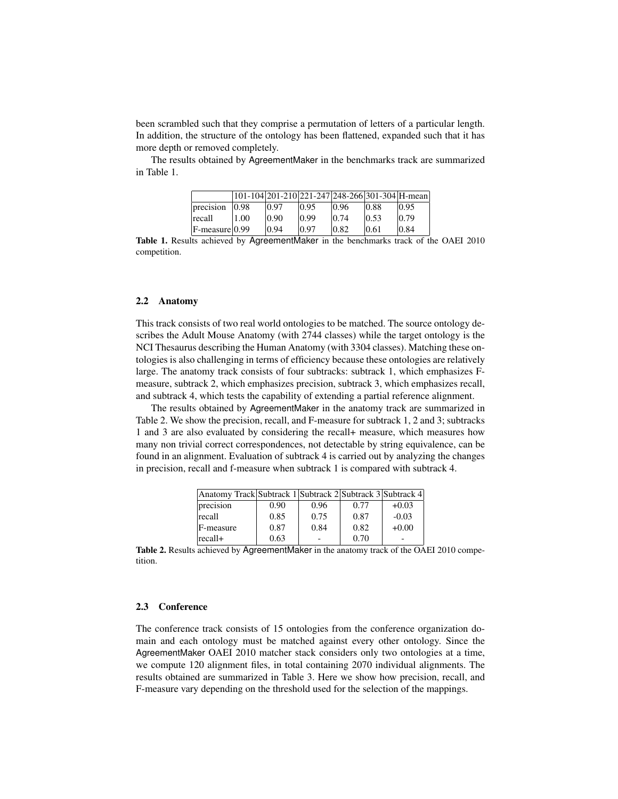been scrambled such that they comprise a permutation of letters of a particular length. In addition, the structure of the ontology has been flattened, expanded such that it has more depth or removed completely.

The results obtained by AgreementMaker in the benchmarks track are summarized in Table 1.

|                |      |       |       | 101-104 201-210 221-247 248-266 301-304 H-mean |       |       |
|----------------|------|-------|-------|------------------------------------------------|-------|-------|
| precision      | 0.98 | 10.97 | 10.95 | 10.96                                          | 10.88 | 10.95 |
| recall         | 1.00 | 10.90 | 0.99  | 10.74                                          | 10.53 | 10.79 |
| F-measure 0.99 |      | 10.94 | 10.97 | 10.82                                          | 10.61 | 0.84  |

Table 1. Results achieved by AgreementMaker in the benchmarks track of the OAEI 2010 competition.

#### 2.2 Anatomy

This track consists of two real world ontologies to be matched. The source ontology describes the Adult Mouse Anatomy (with 2744 classes) while the target ontology is the NCI Thesaurus describing the Human Anatomy (with 3304 classes). Matching these ontologies is also challenging in terms of efficiency because these ontologies are relatively large. The anatomy track consists of four subtracks: subtrack 1, which emphasizes Fmeasure, subtrack 2, which emphasizes precision, subtrack 3, which emphasizes recall, and subtrack 4, which tests the capability of extending a partial reference alignment.

The results obtained by AgreementMaker in the anatomy track are summarized in Table 2. We show the precision, recall, and F-measure for subtrack 1, 2 and 3; subtracks 1 and 3 are also evaluated by considering the recall+ measure, which measures how many non trivial correct correspondences, not detectable by string equivalence, can be found in an alignment. Evaluation of subtrack 4 is carried out by analyzing the changes in precision, recall and f-measure when subtrack 1 is compared with subtrack 4.

| Anatomy Track Subtrack 1 Subtrack 2 Subtrack 3 Subtrack 4 |      |      |      |         |
|-----------------------------------------------------------|------|------|------|---------|
| precision                                                 | 0.90 | 0.96 | 0.77 | $+0.03$ |
| recall                                                    | 0.85 | 0.75 | 0.87 | $-0.03$ |
| F-measure                                                 | 0.87 | 0.84 | 0.82 | $+0.00$ |
| $ recall+$                                                | 0.63 |      | 0.70 |         |

Table 2. Results achieved by AgreementMaker in the anatomy track of the OAEI 2010 competition.

#### 2.3 Conference

The conference track consists of 15 ontologies from the conference organization domain and each ontology must be matched against every other ontology. Since the AgreementMaker OAEI 2010 matcher stack considers only two ontologies at a time, we compute 120 alignment files, in total containing 2070 individual alignments. The results obtained are summarized in Table 3. Here we show how precision, recall, and F-measure vary depending on the threshold used for the selection of the mappings.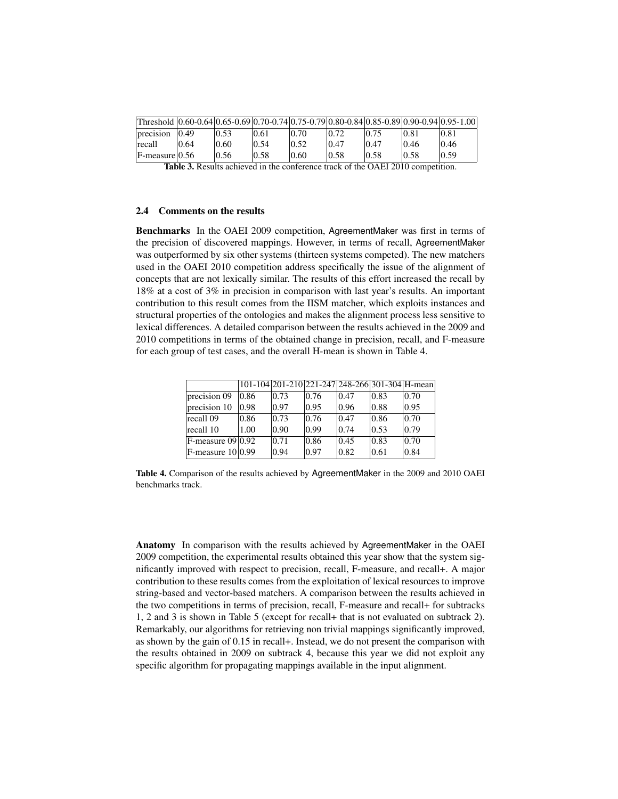| Threshold 0.60-0.64 0.65-0.69 0.70-0.74 0.75-0.79 0.80-0.84 0.85-0.89 0.90-0.94 0.95-1.00 |                |      |       |       |                |      |      |       |
|-------------------------------------------------------------------------------------------|----------------|------|-------|-------|----------------|------|------|-------|
| precision                                                                                 | $ 0.49\rangle$ | 0.53 | 0.61  | 10.70 | $ 0.72\rangle$ |      | 0.81 | 0.81  |
| recall                                                                                    | 0.64           | 0.60 | 0.54  | 10.52 | 0.47           | 0.47 | 0.46 | 0.46  |
| $F-measure$ 0.56                                                                          |                | 0.56 | 10.58 | 0.60  | 10.58          | 0.58 | 0.58 | 10.59 |
| $\cdots$ $\cdots$<br>$\sim$ $\sim$<br>$0.1$ DI 0.010                                      |                |      |       |       |                |      |      |       |

Table 3. Results achieved in the conference track of the OAEI 2010 competition.

#### 2.4 Comments on the results

Benchmarks In the OAEI 2009 competition, AgreementMaker was first in terms of the precision of discovered mappings. However, in terms of recall, AgreementMaker was outperformed by six other systems (thirteen systems competed). The new matchers used in the OAEI 2010 competition address specifically the issue of the alignment of concepts that are not lexically similar. The results of this effort increased the recall by 18% at a cost of 3% in precision in comparison with last year's results. An important contribution to this result comes from the IISM matcher, which exploits instances and structural properties of the ontologies and makes the alignment process less sensitive to lexical differences. A detailed comparison between the results achieved in the 2009 and 2010 competitions in terms of the obtained change in precision, recall, and F-measure for each group of test cases, and the overall H-mean is shown in Table 4.

|                                |      |      |      | 101-104 201-210 221-247 248-266 301-304 H-mean |                |                |
|--------------------------------|------|------|------|------------------------------------------------|----------------|----------------|
| precision 09                   | 0.86 | 0.73 | 0.76 | 0.47                                           | $ 0.83\rangle$ | 0.70           |
| precision 10                   | 0.98 | 0.97 | 0.95 | 0.96                                           | 0.88           | $ 0.95\rangle$ |
| recall 09                      | 0.86 | 0.73 | 0.76 | 0.47                                           | 0.86           | 0.70           |
| recall 10                      | 1.00 | 0.90 | 0.99 | 0.74                                           | 0.53           | 0.79           |
| $F$ -measure 09 $ 0.92\rangle$ |      | 0.71 | 0.86 | $ 0.45\rangle$                                 | $ 0.83\rangle$ | 0.70           |
| $F$ -measure $10 0.99$         |      | 0.94 | 0.97 | 0.82                                           | 0.61           | 0.84           |

Table 4. Comparison of the results achieved by AgreementMaker in the 2009 and 2010 OAEI benchmarks track.

Anatomy In comparison with the results achieved by AgreementMaker in the OAEI 2009 competition, the experimental results obtained this year show that the system significantly improved with respect to precision, recall, F-measure, and recall+. A major contribution to these results comes from the exploitation of lexical resources to improve string-based and vector-based matchers. A comparison between the results achieved in the two competitions in terms of precision, recall, F-measure and recall+ for subtracks 1, 2 and 3 is shown in Table 5 (except for recall+ that is not evaluated on subtrack 2). Remarkably, our algorithms for retrieving non trivial mappings significantly improved, as shown by the gain of 0.15 in recall+. Instead, we do not present the comparison with the results obtained in 2009 on subtrack 4, because this year we did not exploit any specific algorithm for propagating mappings available in the input alignment.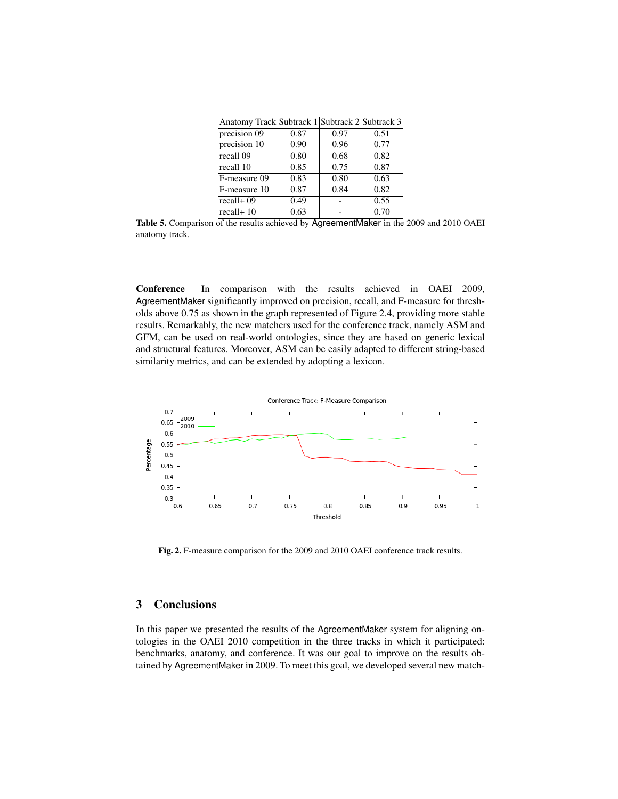| Anatomy Track Subtrack 1 Subtrack 2 Subtrack 3 |      |      |                   |
|------------------------------------------------|------|------|-------------------|
| precision 09                                   | 0.87 | 0.97 | 0.51              |
| precision 10                                   | 0.90 | 0.96 | 0.77              |
| recall 09                                      | 0.80 | 0.68 | 0.82              |
| recall 10                                      | 0.85 | 0.75 | 0.87              |
| F-measure 09                                   | 0.83 | 0.80 | 0.63              |
| F-measure 10                                   | 0.87 | 0.84 | 0.82              |
| recall+ 09                                     | 0.49 |      | $\overline{0.55}$ |
| $ recall+10$                                   | 0.63 |      | 0.70              |

Table 5. Comparison of the results achieved by AgreementMaker in the 2009 and 2010 OAEI anatomy track.

Conference In comparison with the results achieved in OAEI 2009, AgreementMaker significantly improved on precision, recall, and F-measure for thresholds above 0.75 as shown in the graph represented of Figure 2.4, providing more stable results. Remarkably, the new matchers used for the conference track, namely ASM and GFM, can be used on real-world ontologies, since they are based on generic lexical and structural features. Moreover, ASM can be easily adapted to different string-based similarity metrics, and can be extended by adopting a lexicon.



Fig. 2. F-measure comparison for the 2009 and 2010 OAEI conference track results.

# 3 Conclusions

In this paper we presented the results of the AgreementMaker system for aligning ontologies in the OAEI 2010 competition in the three tracks in which it participated: benchmarks, anatomy, and conference. It was our goal to improve on the results obtained by AgreementMaker in 2009. To meet this goal, we developed several new match